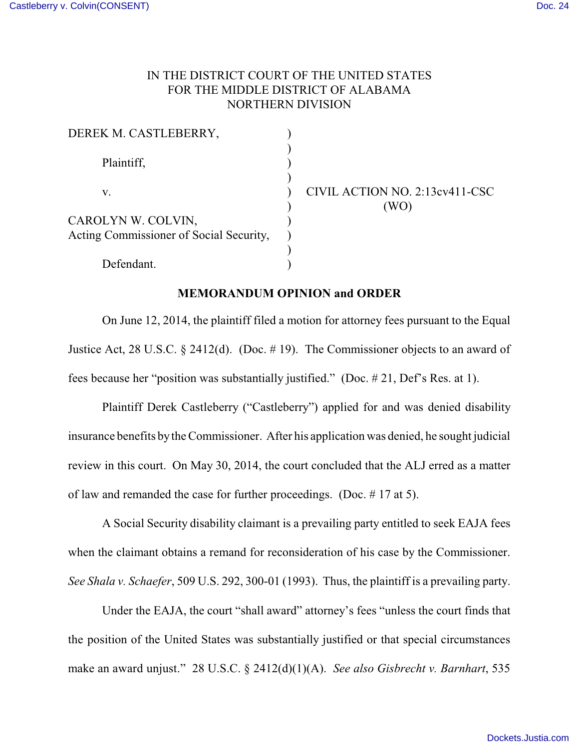## IN THE DISTRICT COURT OF THE UNITED STATES FOR THE MIDDLE DISTRICT OF ALABAMA NORTHERN DIVISION

| DEREK M. CASTLEBERRY,                   |                                        |
|-----------------------------------------|----------------------------------------|
| Plaintiff,                              |                                        |
| V.                                      | CIVIL ACTION NO. 2:13cv411-CSC<br>(WO) |
| CAROLYN W. COLVIN,                      |                                        |
| Acting Commissioner of Social Security, |                                        |
|                                         |                                        |
| Defendant.                              |                                        |

## **MEMORANDUM OPINION and ORDER**

On June 12, 2014, the plaintiff filed a motion for attorney fees pursuant to the Equal Justice Act, 28 U.S.C. § 2412(d). (Doc. # 19). The Commissioner objects to an award of fees because her "position was substantially justified." (Doc. # 21, Def's Res. at 1).

Plaintiff Derek Castleberry ("Castleberry") applied for and was denied disability insurance benefits by the Commissioner. After his application was denied, he sought judicial review in this court. On May 30, 2014, the court concluded that the ALJ erred as a matter of law and remanded the case for further proceedings. (Doc. # 17 at 5).

A Social Security disability claimant is a prevailing party entitled to seek EAJA fees when the claimant obtains a remand for reconsideration of his case by the Commissioner. *See Shala v. Schaefer*, 509 U.S. 292, 300-01 (1993). Thus, the plaintiff is a prevailing party.

Under the EAJA, the court "shall award" attorney's fees "unless the court finds that the position of the United States was substantially justified or that special circumstances make an award unjust." 28 U.S.C. § 2412(d)(1)(A). *See also Gisbrecht v. Barnhart*, 535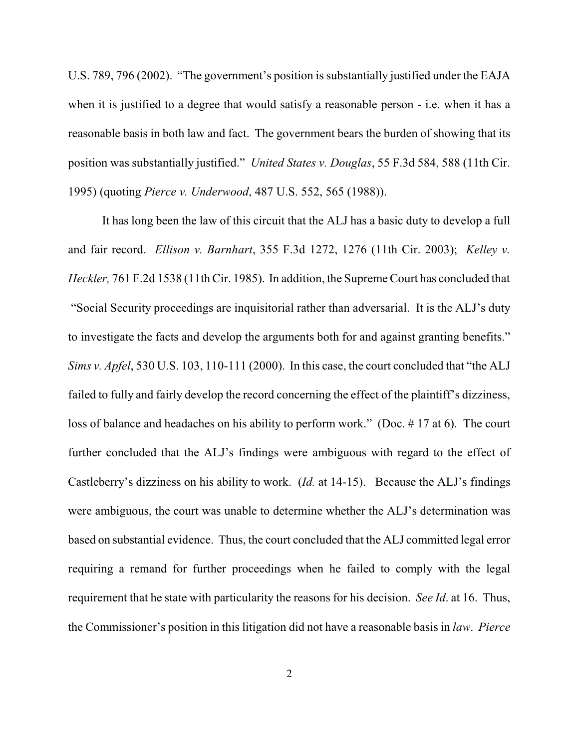U.S. 789, 796 (2002). "The government's position is substantially justified under the EAJA when it is justified to a degree that would satisfy a reasonable person - i.e. when it has a reasonable basis in both law and fact. The government bears the burden of showing that its position was substantially justified." *United States v. Douglas*, 55 F.3d 584, 588 (11th Cir. 1995) (quoting *Pierce v. Underwood*, 487 U.S. 552, 565 (1988)).

It has long been the law of this circuit that the ALJ has a basic duty to develop a full and fair record. *Ellison v. Barnhart*, 355 F.3d 1272, 1276 (11th Cir. 2003); *Kelley v. Heckler,* 761 F.2d 1538 (11th Cir. 1985). In addition, the Supreme Court has concluded that "Social Security proceedings are inquisitorial rather than adversarial. It is the ALJ's duty to investigate the facts and develop the arguments both for and against granting benefits." *Sims v. Apfel*, 530 U.S. 103, 110-111 (2000). In this case, the court concluded that "the ALJ failed to fully and fairly develop the record concerning the effect of the plaintiff's dizziness, loss of balance and headaches on his ability to perform work." (Doc. # 17 at 6). The court further concluded that the ALJ's findings were ambiguous with regard to the effect of Castleberry's dizziness on his ability to work. (*Id.* at 14-15). Because the ALJ's findings were ambiguous, the court was unable to determine whether the ALJ's determination was based on substantial evidence. Thus, the court concluded that the ALJ committed legal error requiring a remand for further proceedings when he failed to comply with the legal requirement that he state with particularity the reasons for his decision. *See Id*. at 16. Thus, the Commissioner's position in this litigation did not have a reasonable basis in *law*. *Pierce*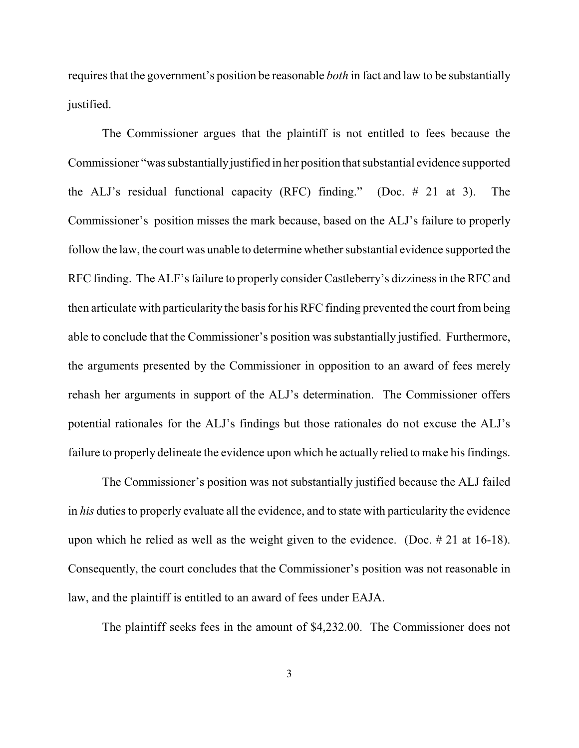requires that the government's position be reasonable *both* in fact and law to be substantially justified.

The Commissioner argues that the plaintiff is not entitled to fees because the Commissioner "was substantiallyjustified in her position that substantial evidence supported the ALJ's residual functional capacity (RFC) finding." (Doc. # 21 at 3). The Commissioner's position misses the mark because, based on the ALJ's failure to properly follow the law, the court was unable to determine whether substantial evidence supported the RFC finding. The ALF's failure to properly consider Castleberry's dizziness in the RFC and then articulate with particularity the basis for his RFC finding prevented the court from being able to conclude that the Commissioner's position was substantially justified. Furthermore, the arguments presented by the Commissioner in opposition to an award of fees merely rehash her arguments in support of the ALJ's determination. The Commissioner offers potential rationales for the ALJ's findings but those rationales do not excuse the ALJ's failure to properly delineate the evidence upon which he actually relied to make his findings.

The Commissioner's position was not substantially justified because the ALJ failed in *his* duties to properly evaluate all the evidence, and to state with particularity the evidence upon which he relied as well as the weight given to the evidence. (Doc. # 21 at 16-18). Consequently, the court concludes that the Commissioner's position was not reasonable in law, and the plaintiff is entitled to an award of fees under EAJA.

The plaintiff seeks fees in the amount of \$4,232.00. The Commissioner does not